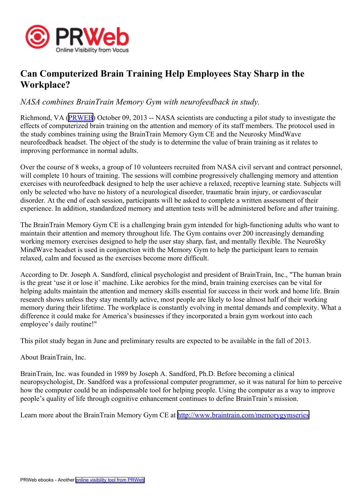

## **Can Computerized Brain Training Help Employees Stay Sharp in the Workplace?**

## *NASA combines BrainTrain Memory Gym with neurofeedback in study.*

Richmond, VA [\(PRWEB\)](http://www.prweb.com) October 09, 2013 -- NASA scientists are conducting <sup>a</sup> pilot study to investigate the effects of computerized brain training on the attention and memory of its staff members. The protocol used in the study combines training using the BrainTrain Memory Gym CE and the Neurosky MindWave neurofeedback headset. The object of the study is to determine the value of brain training as it relates to improving performance in normal adults.

Over the course of 8 weeks, <sup>a</sup> group of 10 volunteers recruited from NASA civil servant and contract personnel, will complete 10 hours of training. The sessions will combine progressively challenging memory and attention exercises with neurofeedback designed to help the user achieve <sup>a</sup> relaxed, receptive learning state. Subjects will only be selected who have no history of <sup>a</sup> neurological disorder, traumatic brain injury, or cardiovascular disorder. At the end of each session, participants will be asked to complete <sup>a</sup> written assessment of their experience. In addition, standardized memory and attention tests will be administered before and after training.

The BrainTrain Memory Gym CE is <sup>a</sup> challenging brain gym intended for high-functioning adults who want to maintain their attention and memory throughout life. The Gym contains over 200 increasingly demanding working memory exercises designed to help the user stay sharp, fast, and mentally flexible. The NeuroSky MindWave headset is used in conjunction with the Memory Gym to help the participant learn to remain relaxed, calm and focused as the exercises become more difficult.

According to Dr. Joseph A. Sandford, clinical psychologist and president of BrainTrain, Inc., "The human brain is the grea<sup>t</sup> 'use it or lose it' machine. Like aerobics for the mind, brain training exercises can be vital for helping adults maintain the attention and memory skills essential for success in their work and home life. Brain research shows unless they stay mentally active, most people are likely to lose almost half of their working memory during their lifetime. The workplace is constantly evolving in mental demands and complexity. What <sup>a</sup> difference it could make for America's businesses if they incorporated <sup>a</sup> brain gym workout into each employee's daily routine!"

This pilot study began in June and preliminary results are expected to be available in the fall of 2013.

## About BrainTrain, Inc.

BrainTrain, Inc. was founded in 1989 by Joseph A. Sandford, Ph.D. Before becoming <sup>a</sup> clinical neuropsychologist, Dr. Sandford was <sup>a</sup> professional computer programmer, so it was natural for him to perceive how the computer could be an indispensable tool for helping people. Using the computer as <sup>a</sup> way to improve people's quality of life through cognitive enhancement continues to define BrainTrain's mission.

Learn more about the BrainTrain Memory Gym CE at <http://www.braintrain.com/memorygymseries>